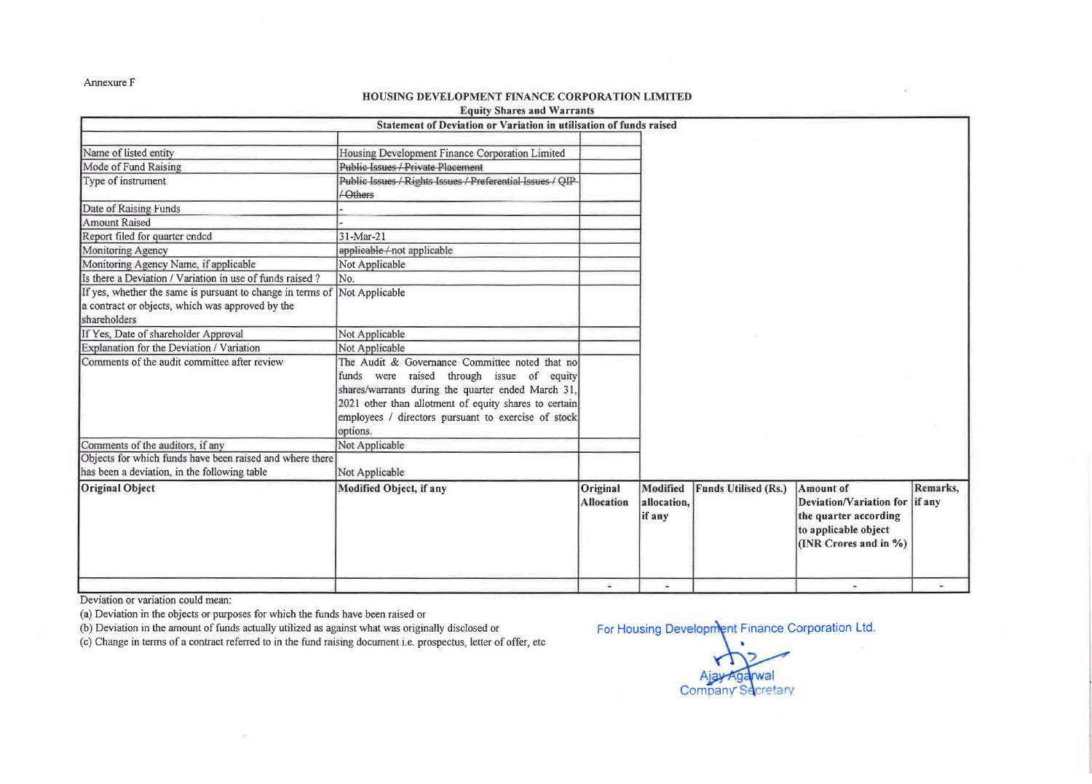Annexure F

## HOUSING DEVELOPMENT FINANCE CORPORATION LIMITED

| <b>Equity Shares and Warrants</b>                                  |
|--------------------------------------------------------------------|
| Statement of Deviation or Variation in utilization of funds reject |

|                                                            | Statement of Deviation or Variation in utilisation of funds raised          |                               |                                   |                             |                                                                                                                              |          |
|------------------------------------------------------------|-----------------------------------------------------------------------------|-------------------------------|-----------------------------------|-----------------------------|------------------------------------------------------------------------------------------------------------------------------|----------|
| Name of listed entity                                      | Housing Development Finance Corporation Limited                             |                               |                                   |                             |                                                                                                                              |          |
| Mode of Fund Raising                                       | <b>Public-Issues / Private Placement</b>                                    |                               |                                   |                             |                                                                                                                              |          |
| Type of instrument                                         | Public Issues / Rights Issues / Preferential Issues / QIP-<br><b>Cthers</b> |                               |                                   |                             |                                                                                                                              |          |
| Date of Raising Funds                                      |                                                                             |                               |                                   |                             |                                                                                                                              |          |
| <b>Amount Raised</b>                                       |                                                                             |                               |                                   |                             |                                                                                                                              |          |
| Report filed for quarter ended                             | 31-Mar-21                                                                   |                               |                                   |                             |                                                                                                                              |          |
| Monitoring Agency                                          | applicable/not applicable                                                   |                               |                                   |                             |                                                                                                                              |          |
| Monitoring Agency Name, if applicable                      | Not Applicable                                                              |                               |                                   |                             |                                                                                                                              |          |
| Is there a Deviation / Variation in use of funds raised?   | No.                                                                         |                               |                                   |                             |                                                                                                                              |          |
| If yes, whether the same is pursuant to change in terms of | Not Applicable                                                              |                               |                                   |                             |                                                                                                                              |          |
| a contract or objects, which was approved by the           |                                                                             |                               |                                   |                             |                                                                                                                              |          |
| shareholders                                               |                                                                             |                               |                                   |                             |                                                                                                                              |          |
| If Yes, Date of shareholder Approval                       | Not Applicable                                                              |                               |                                   |                             |                                                                                                                              |          |
| Explanation for the Deviation / Variation                  | Not Applicable                                                              |                               |                                   |                             |                                                                                                                              |          |
| Comments of the audit committee after review               | The Audit & Governance Committee noted that no                              |                               |                                   |                             |                                                                                                                              |          |
|                                                            | funds were raised through issue of equity                                   |                               |                                   |                             |                                                                                                                              |          |
|                                                            | shares/warrants during the quarter ended March 31,                          |                               |                                   |                             |                                                                                                                              |          |
|                                                            | 2021 other than allotment of equity shares to certain                       |                               |                                   |                             |                                                                                                                              |          |
|                                                            | employees / directors pursuant to exercise of stock                         |                               |                                   |                             |                                                                                                                              |          |
|                                                            | options.                                                                    |                               |                                   |                             |                                                                                                                              |          |
| Comments of the auditors, if any                           | Not Applicable                                                              |                               |                                   |                             |                                                                                                                              |          |
| Objects for which funds have been raised and where there   |                                                                             |                               |                                   |                             |                                                                                                                              |          |
| has been a deviation, in the following table               | Not Applicable                                                              |                               |                                   |                             |                                                                                                                              |          |
| <b>Original Object</b>                                     | Modified Object, if any                                                     | Original<br><b>Allocation</b> | Modified<br>allocation,<br>if any | <b>Funds Utilised (Rs.)</b> | <b>Amount of</b><br>Deviation/Variation for if any<br>the quarter according<br>to applicable object<br>(INR Crores and in %) | Remarks. |
|                                                            |                                                                             | ä.                            |                                   |                             |                                                                                                                              |          |

Deviation or variation could mean:

(a) Deviation in the objects or purposes for which the funds have been raised or

(b) Deviation in the amount of funds actually utilized as against what was originally disclosed or For Housing Development Finance Corporation Ltd.

( c) Change in terms of a contract referred to in the fund raising document i.e. prospectus, letter of offer, etc

**Company Secretary**